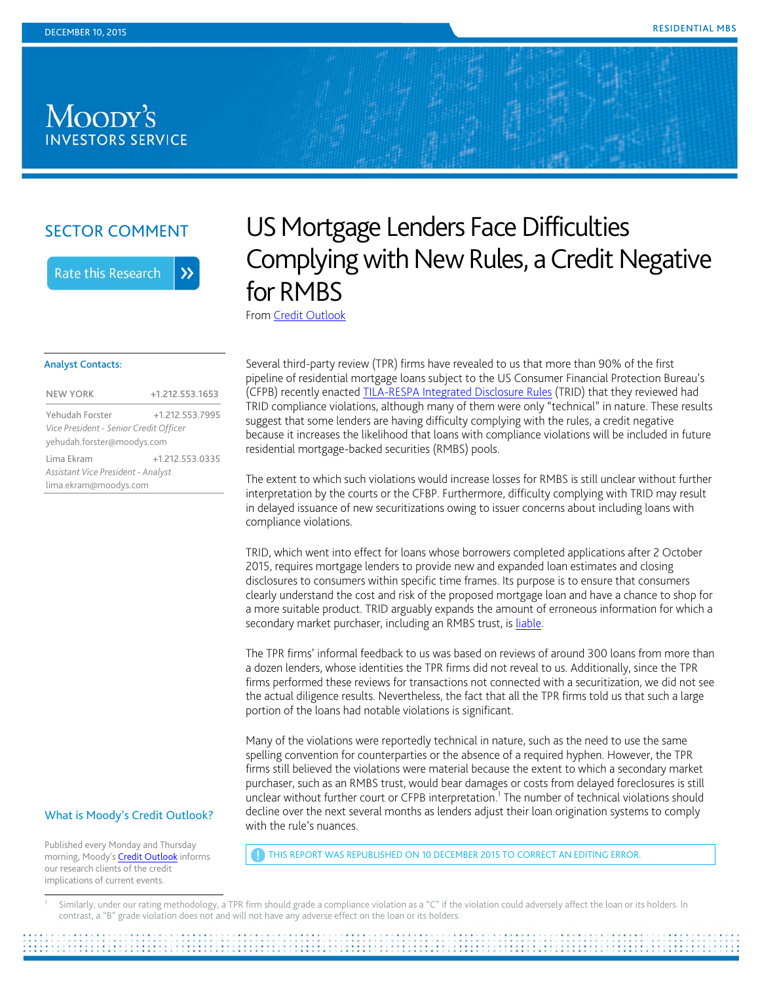## Moody's **INVESTORS SERVICE**

## SECTOR COMMENT

**Rate this Research** 

 $\lambda$ 

# US Mortgage Lenders Face Difficulties Complying with New Rules, a Credit Negative for RMBS

From Credit Outlook

#### Analyst Contacts:

| <b>NEW YORK</b>                        | +1.212.553.1653 |
|----------------------------------------|-----------------|
|                                        |                 |
| Yehudah Forster                        | +1.212.553.7995 |
| Vice President - Senior Credit Officer |                 |
| yehudah.forster@moodys.com             |                 |
| Lima Ekram                             | +1.212.553.0335 |
| Assistant Vice President - Analyst     |                 |
| lima.ekram@moodys.com                  |                 |

Several third-party review (TPR) firms have revealed to us that more than 90% of the first pipeline of residential mortgage loans subject to the US Consumer Financial Protection Bureau's (CFPB) recently enacted TILA-RESPA Integrated Disclosure Rules (TRID) that they reviewed had TRID compliance violations, although many of them were only "technical" in nature. These results suggest that some lenders are having difficulty complying with the rules, a credit negative because it increases the likelihood that loans with compliance violations will be included in future residential mortgage-backed securities (RMBS) pools.

The extent to which such violations would increase losses for RMBS is still unclear without further interpretation by the courts or the CFBP. Furthermore, difficulty complying with TRID may result in delayed issuance of new securitizations owing to issuer concerns about including loans with compliance violations.

TRID, which went into effect for loans whose borrowers completed applications after 2 October 2015, requires mortgage lenders to provide new and expanded loan estimates and closing disclosures to consumers within specific time frames. Its purpose is to ensure that consumers clearly understand the cost and risk of the proposed mortgage loan and have a chance to shop for a more suitable product. TRID arguably expands the amount of erroneous information for which a secondary market purchaser, including an RMBS trust, is liable.

The TPR firms' informal feedback to us was based on reviews of around 300 loans from more than a dozen lenders, whose identities the TPR firms did not reveal to us. Additionally, since the TPR firms performed these reviews for transactions not connected with a securitization, we did not see the actual diligence results. Nevertheless, the fact that all the TPR firms told us that such a large portion of the loans had notable violations is significant.

Many of the violations were reportedly technical in nature, such as the need to use the same spelling convention for counterparties or the absence of a required hyphen. However, the TPR firms still believed the violations were material because the extent to which a secondary market purchaser, such as an RMBS trust, would bear damages or costs from delayed foreclosures is still unclear without further court or CFPB interpretation.<sup>1</sup> The number of technical violations should decline over the next several months as lenders adjust their loan origination systems to comply with the rule's nuances.

Similarly, under our rating methodology, a TPR firm should grade a compliance violation as a "C" if the violation could adversely affect the loan or its holders. In contrast, a "B" grade violation does not and will not have any adverse effect on the loan or its holders.

## What is Moody's Credit Outlook?

Published every Monday and Thursday morning, Moody's **Credit Outlook** informs our research clients of the credit implications of current events.

 $\overline{a}$ 

THIS REPORT WAS REPUBLISHED ON 10 DECEMBER 2015 TO CORRECT AN EDITING ERROR.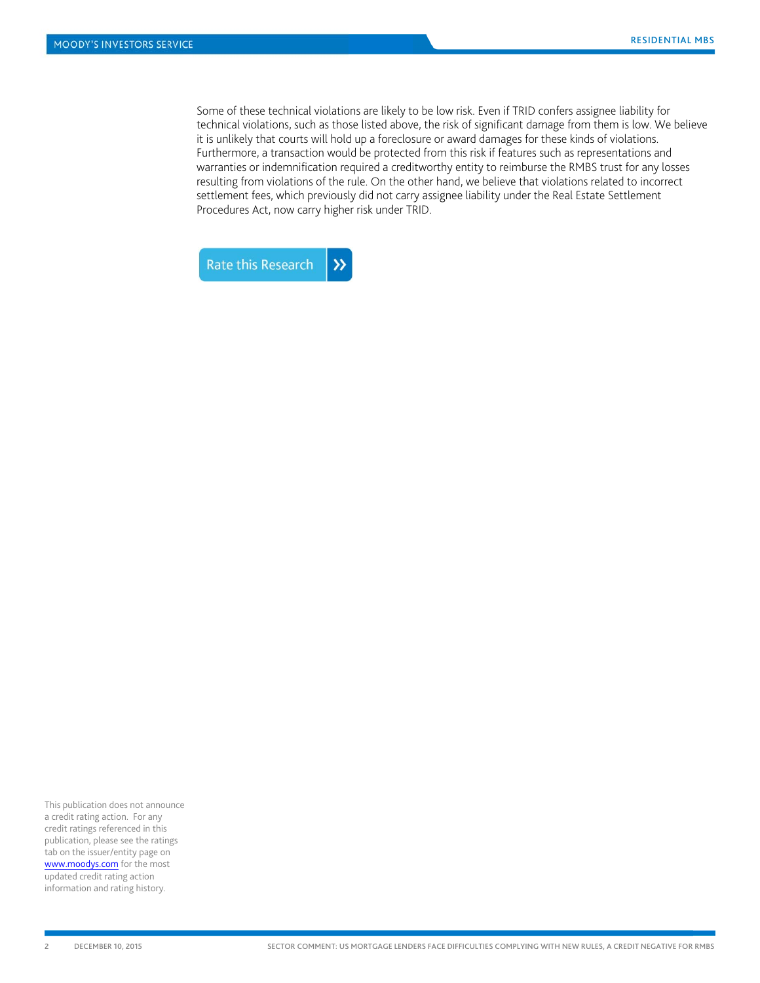Some of these technical violations are likely to be low risk. Even if TRID confers assignee liability for technical violations, such as those listed above, the risk of significant damage from them is low. We believe it is unlikely that courts will hold up a foreclosure or award damages for these kinds of violations. Furthermore, a transaction would be protected from this risk if features such as representations and warranties or indemnification required a creditworthy entity to reimburse the RMBS trust for any losses resulting from violations of the rule. On the other hand, we believe that violations related to incorrect settlement fees, which previously did not carry assignee liability under the Real Estate Settlement Procedures Act, now carry higher risk under TRID.



This publication does not announce a credit rating action. For any credit ratings referenced in this publication, please see the ratings tab on the issuer/entity page on www.moodys.com for the most updated credit rating action information and rating history.

l